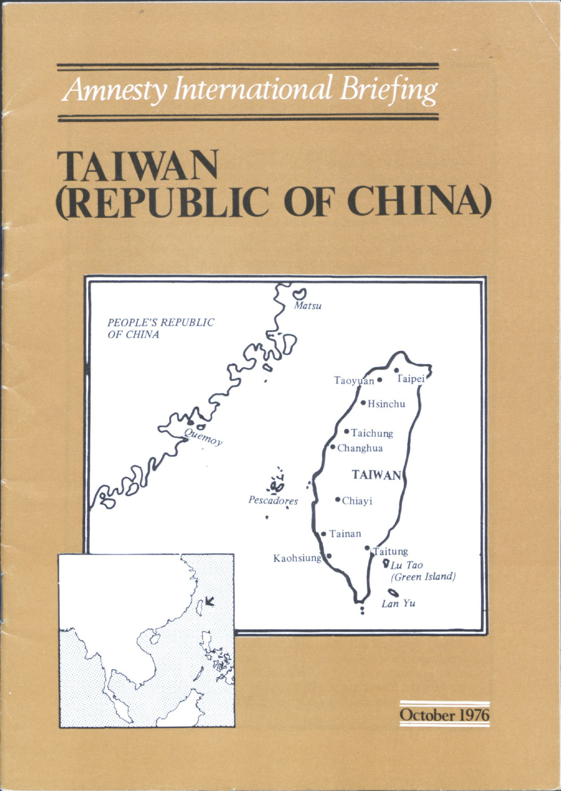### **Amnesty International Briefing**

## **TAIWAN (REPUBLIC OF CHINA)**

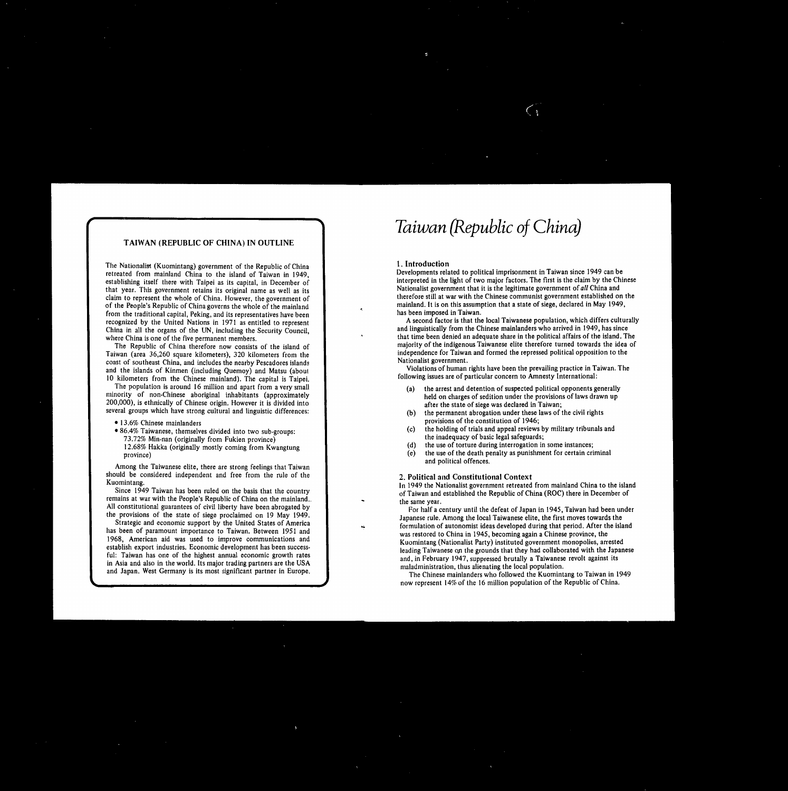## **TAIWAN (REPUBLIC OF CHINA) IN OUTLINE**

The Nationalist (Kuomintang) government of the Republic of China retreated from mainland China to the island of Taiwan in 1949, establishing itself there with Taipei as its capital, in December of that year. This government retains its original name as well as its claim to represent the whole of China. However, the government of of the People's Republic of China governs the whole of the mainland from the traditional capital, Peking, and its representatives have been recognized by the United Nations in 1971 as entitled to represent China in all the organs of the UN, including the Security Council, where China is one of the five permanent members.

The Republic of China therefore now consists of the island of Taiwan (area 36,260 square kilometers), 320 kilometers from the coast of southeast China, and includes the nearby Pescadores islands and the islands of Kinmen (including Quemoy) and Matsu (about 10 kilometers from the Chinese mainland). The capital is Taipei. The population is around 16 million and apart from a very small

## Taiwan (Republic of China)

minority of non-Chinese aboriginal inhabitants (approximately 200,000), is ethnically of Chinese origin. However it is divided into several groups which have strong cultural and linguistic differences:

• 13.6% Chinese mainlanders

86.4% Taiwanese, themselves divided into two sub-groups: 73.72% Min-nan (originally from Fukien province) 12.68% Hakka (originally mostly coming from Kwangtung province)

Among the Taiwanese elite, there are strong feelings that Taiwan should be considered independent and free from the rule of the Kuomintang.

### the arrest and detention of suspected political opponents generally  $(a)$

Since 1949 Taiwan has been ruled on the basis that the country remains at war with the People's Republic of China on the mainland.. All constitutional guarantees of civil liberty have been abrogated by the provisions of the state of siege proclaimed on 19 May 1949. Strategic and economic support by the United States of America has been of paramount importance to Taiwan. Between 1951 and 1968, American aid was used to improve communications and establish export industries. Economic development has been successful: Taiwan has one of the highest annual economic growth rates in Asia and also in the world. Its major trading partners are the USA and Japan. West Germany is its most significant partner in Europe.

## **1. Introduction**

Developments related to political imprisonment in Taiwan since 1949 can be interpreted in the light of two major factors. The first is the claim by the Chinese Nationalist government that it is the legitimate government of *all* China and therefore still at war with the Chinese communist government established on the mainland. It is on this assumption that a state of siege, declared in May 1949, has been imposed in Taiwan.

A second factor is that the local Taiwanese population, which differs culturally and linguistically from the Chinese mainlanders who arrived in 1949, has since that time been denied an adequate share in the political affairs of the island. The majority of the indigenous Taiwanese elite therefore turned towards the idea of independence for Taiwan and formed the repressed political opposition to the Nationalist government.

Violations of human rights have been the prevailing practice in Taiwan. The following issues are of particular concern to Amnesty International:

held on charges of sedition under the provisions of laws drawn up after the state of siege was declared in Taiwan;

- the permanent abrogation under these laws of the civil rights  $(b)$ provisions of the constitution of 1946;
- the holding of trials and appeal reviews by military tribunals and  $(c)$ the inadequacy of basic legal safeguards;
- the use of torture during interrogation in some instances;
- the use of the death penalty as punishment for certain criminal (e) and political offences.
- 2. **Political and Constitutional Context**

In 1949 the Nationalist government retreated from mainland China to the island of Taiwan and established the Republic of China (ROC) there in December of the same year.

For half a century until the defeat of Japan in 1945, Taiwan had been under Japanese rule. Among the local Taiwanese elite, the first moves towards the formulation of autonomist ideas developed during that period. After the island was restored to China in 1945, becoming again a Chinese province, the Kuomintang (Nationalist Party) instituted government monopolies, arrested leading Taiwanese on the grounds that they had collaborated with the Japanese and, in February 1947, suppressed brutally a Taiwanese revolt against its maladministration, thus alienating the local population.

The Chinese mainlanders who followed the Kuomintang to Taiwan in 1949 now represent 14% of the 16 million population of the Republic of China.

,他们的一个人都是一个人的人,他们的人都是一个人的人,他们的人都是一个人的人,他们的人都是一个人的人,他们的人都是一个人的人,他们的人都是一个人的人,他们的人都<br>第159章 我们的人,他们的人都是一个人的人,他们的人都是一个人的人,他们的人都是一个人的人,他们的人都是一个人的人,他们的人都是一个人的人,他们的人都是一个人

the contract of the contract of the con-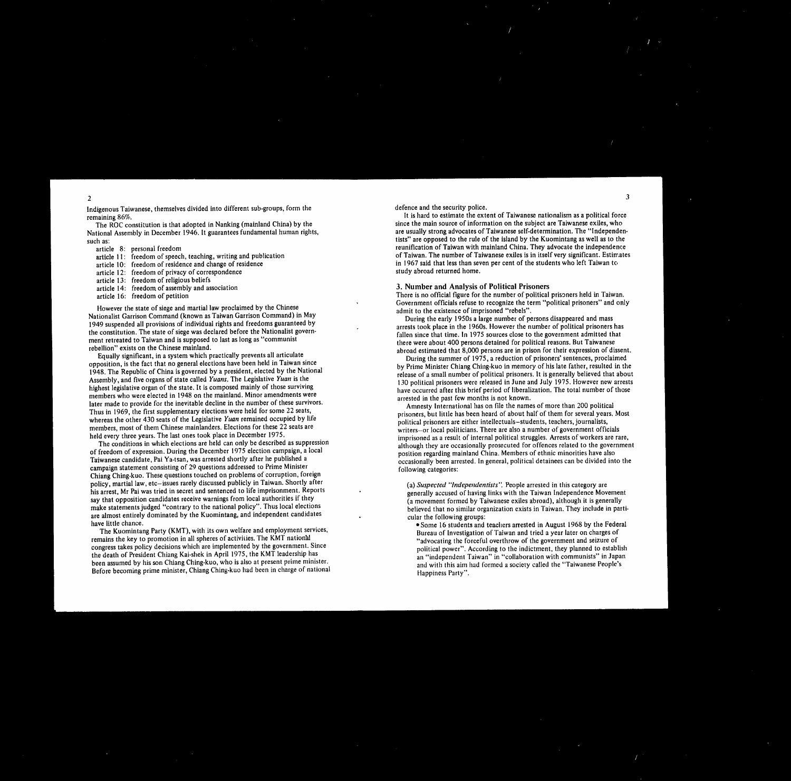Indigenous Taiwanese, themselves divided into different sub-groups, form the remaining 86%.

The ROC constitution is that adopted in Nanking (mainland China) by the National Assembly in December 1946. It guarantees fundamental human rights, such as:

| article 8: personal freedom              |
|------------------------------------------|
| article 11: freedom of speech, teachin   |
| article 10: freedom of residence and c   |
| article 12: freedom of privacy of corre  |
| article 13: freedom of religious beliefs |
| article 14: freedom of assembly and a    |
| article 16: freedom of petition          |
|                                          |

However the state of siege and martial law proclaimed by the Chinese Nationalist Garrison Command (known as Taiwan Garrison Command) in May 1949 suspended all provisions of individual rights and freedoms guaranteed by the constitution. The state of siege was declared before the Nationalist government retreated to Taiwan and is supposed to last as long as "communist rebellion" exists on the Chinese mainland.

Equally significant, in a system which practically prevents all articulate opposition, is the fact that no general elections have been held in Taiwan since 1948. The Republic of China is governed by a president, elected by the National Assembly, and five organs of state called *Yuans.* The Legislative *Yuan* is the highest legislative organ of the state. It is composed mainly of those surviving members who were elected in 1948 on the mainland. Minor amendments were later made to provide for the inevitable decline in the number of these survivors. Thus in 1969, the first supplementary elections were held for some 22 seats, whereas the other 430 seats of the Legislative *Yuan* remained occupied by life members, most of them Chinese mainlanders. Elections for these 22 seats are held every three years. The last ones took place in December 1975.

The conditions in which elections are held can only be described as suppression of freedom of expression. During the December 1975 election campaign, a local Taiwanese candidate, Pai Ya-tsan, was arrested shortly after he published a campaign statement consisting of 29 questions addressed to Prime Minister Chiang Ching-kuo. These questions touched on problems of corruption, foreign policy, martial law, etc—issues rarely discussed publicly in Taiwan. Shortly after his arrest, Mr Pai was tried in secret and sentenced to life imprisonment. Reports say that opposition candidates receive warnings from local authorities if they make statements judged "contrary to the national policy". Thus local elections are almost entirely dominated by the Kuomintang, and independent candidates have little chance.

The Kuomintang Party (KMT), with its own welfare and employment services, remains the key to promotion in all spheres of activities. The KMT national congress takes policy decisions which are implemented by the government. Since the death of President Chiang Kai-shek in April 1975, the KMT leadership has been assumed by his son Chiang Ching-kuo, who is also at present prime minister. Before becoming prime minister, Chiang Ching-kuo had been in charge of national

2

aching, writing and publication ind change of residence correspondence and association



3

defence and the security police.

It is hard to estimate the extent of Taiwanese nationalism as a political force since the main source of information on the subject are Taiwanese exiles, who are usually strong advocates of Taiwanese self-determination. The "Independentists" are opposed to the rule of the island by the Kuomintang as well as to the reunification of Taiwan with mainland China. They advocate the independence of Taiwan. The number of Taiwanese exiles is in itself very significant. Estimates in 1967 said that less than seven per cent of the students who left Taiwan to study abroad returned home.

3. Number and Analysis of Political Prisoners

There is no official figure for the number of political prisoners held in Taiwan. Government officials refuse to recognize the term "political prisoners" and only admit to the existence of imprisoned "rebels".

During the early 1950s a large number of persons disappeared and mass arrests took place in the 1960s. However the number of political prisoners has fallen since that time. In 1975 sources close to the government admitted that there were about 400 persons detained for political reasons. But Taiwanese abroad estimated that 8,000 persons are in prison for their expression of dissent. During the summer of 1975, a reduction of prisoners' sentences, proclaimed by Prime Minister Chiang Ching-kuo in memory of his late father, resulted in the release of a small number of political prisoners. It is generally believed that about 130 political prisoners were released in June and July 1975. However new arrests have occurred after this brief period of liberalization. The total number of those

arrested in the past few months is not known.

Amnesty International has on file the names of more than 200 political prisoners, but little has been heard of about half of them for several years. Most political prisoners are either intellectuals—students, teachers, journalists, writers—or local politicians. There are also a number of government officials imprisoned as a result of internal political struggles. Arrests of workers are rare, although they are occasionally prosecuted for offences related to the government position regarding mainland China. Members of ethnic minorities have also occasionally been arrested. In general, political detainees can be divided into the following categories:

•

(a) *Suspected "Independentists".* People arrested in this category are generally accused of having links with the Taiwan Independence Movement (a movement formed by Taiwanese exiles abroad), although it is generally believed that no similar organization exists in Taiwan. They include in particular the following groups:

Some 16 students and teachers arrested in August 1968 by the Federal Bureau of Investigation of Taiwan and tried a year later on charges of "advocating the forceful overthrow of the government and seizure of political power". According to the indictment, they planned to establish an "independent Taiwan" in "collaboration with communists" in Japan and with this aim had formed a society called the "Taiwanese People's Happiness Party".

 $\mathbf{A}$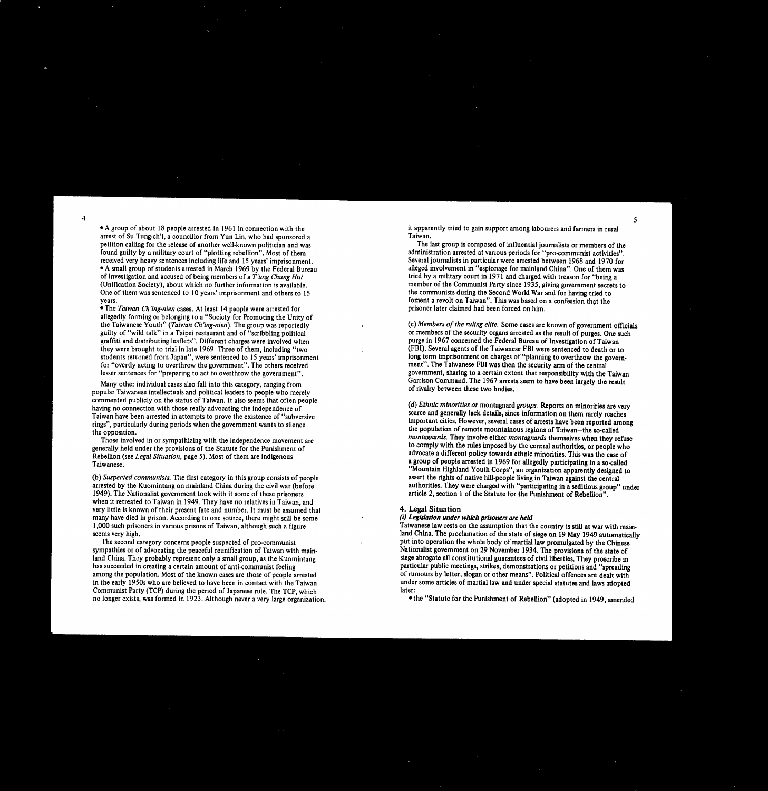arrest of Su Tung-ch'i, a councillor from Yun Lin, who had sponsored a petition calling for the release of another well-known politician and was found guilty by a military court of "plotting rebellion". Most of them received very heavy sentences including life and 15 years' imprisonment. A small group of students arrested in March 1969 by the Federal Bureau of Investigation and accused of being members of a *T'ung Chung Hui* (Unification Society), about which no further information is available. One of them was sentenced to 10 years' imprisonment and others to 15 years.

• The *Taiwan Ch'ing-nien* cases. At least 14 people were arrested for allegedly forming or belonging to a "Society for Promoting the Unity of the Taiwanese Youth" *(Taiwan Ch'ing-nien).*The group was reportedly guilty of "wild talk" in a Taipei restaurant and of "scribbling political graffiti and distributing leaflets". Different charges were involved when they were brought to trial in late 1969. Three of them, including "two students returned from Japan", were sentenced to 15 years' imprisonment for "overtly acting to overthrow the government". The others received lesser sentences for "preparing to act to overthrow the government".

Many other individual cases also fall into this category, ranging from popular Taiwanese intellectuals and political leaders to people who merely commented publicly on the status of Taiwan. It also seems that often people having no connection with those really advocating the independence of Taiwan have been arrested in attempts to prove the existence of "subversive rings", particularly during periods when the government wants to silence the opposition. Those involved in or sympathizing with the independence movement are generally held under the provisions of the Statute for the Punishment of Rebellion (see *Legal Situation,* page 5). Most of them are indigenous Taiwanese.

it apparently tried to gain support among labourers and farmers in rural Taiwan.

The last group is composed of influential journalists or members of the administration arrested at various periods for "pro-communist activities". Several journalists in particular were arrested between 1968 and 1970 for alleged involvement in "espionage for mainland China". One of them was tried by a military court in 1971 and charged with treason for "being a member of the Communist Party since 1935, giving government secrets to the communists during the Second World War and for having tried to foment a revolt on Taiwan". This was based on a confession that the prisoner later claimed had been forced on him.

*(c)Members of the ruling elite.* Some cases are known of government officials or members of the security organs arrested as the result of purges. One such purge in 1967 concerned the Federal Bureau of Investigation of Taiwan (FBI). Several agents of the Taiwanese FBI were sentenced to death or to long term imprisonment on charges of "planning to overthrow the government". The Taiwanese FBI was then the security arm of the central government, sharing to a certain extent that responsibility with the Taiwan Garrison Command. The 1967 arrests seem to have been largely the result of rivalry between these two bodies.

*(b)Suspected communists.*The first category in this group consists of people arrested by the Kuomintang on mainland China during the civil war (before 1949). The Nationalist government took with it some of these prisoners when it retreated to Taiwan in 1949. They have no relatives in Taiwan, and very little is known of their present fate and number. It must be assumed that many have died in prison. According to one source, there might still be some 1,000 such prisoners in various prisons of Taiwan, although such a figure seems very high.

The second category concerns people suspected of pro-communist sympathies or of advocating the peaceful reunification of Taiwan with mainland China. They probably represent only a small group, as the Kuomintang has succeeded in creating a certain amount of anti-communist feeling among the population. Most of the known cases are those of people arrested in the early 1950s who are believed to have been in contact with the Taiwan Communist Party (TCP) during the period of Japanese rule. The TCP, which no longer exists, was formed in 1923. Although never a very large organization,

(d) *Ethnic minorities or* montagnard*groups.*Reports on minorliies are very scarce and generally lack details, since information on them rarely reaches important cities. However, several cases of arrests have been reported among the population of remote mountainous regions of Taiwan—the so-called *montagnards.*They involve either *montagnards*themselves when they refuse to comply with the rules imposed by the central authorities, or people who advocate a different policy towards ethnic minorities. This was the case of a group of people arrested in 1969 for allegedly participating in a so-called "Mountain Highland Youth Corps", an organization apparently designed to assert the rights of native hill-people living in Taiwan against the central authorities. They were charged with "participating in a seditious group" under article 2, section 1 of the Statute for the Punishment of Rebellion".

## 4. Legal Situation

## *(i) Legislation under which prisoners are held*

Taiwanese law rests on the assumption that the country is still at war with mainland China. The proclamation of the state of siege on 19 May 1949 automatically put into operation the whole body of martial law promulgated by the Chinese Nationalist government on 29 November 1934. The provisions of the state of siege abrogate all constitutional guarantees of civil liberties. They proscribe in particular public meetings, strikes, demonstrations or petitions and "spreading of rumours by letter, slogan or other means". Political offences are dealt with under some articles of martial law and under special statutes and laws adopted later:

the "Statute for the Punishment of Rebellion" (adopted in 1949, amended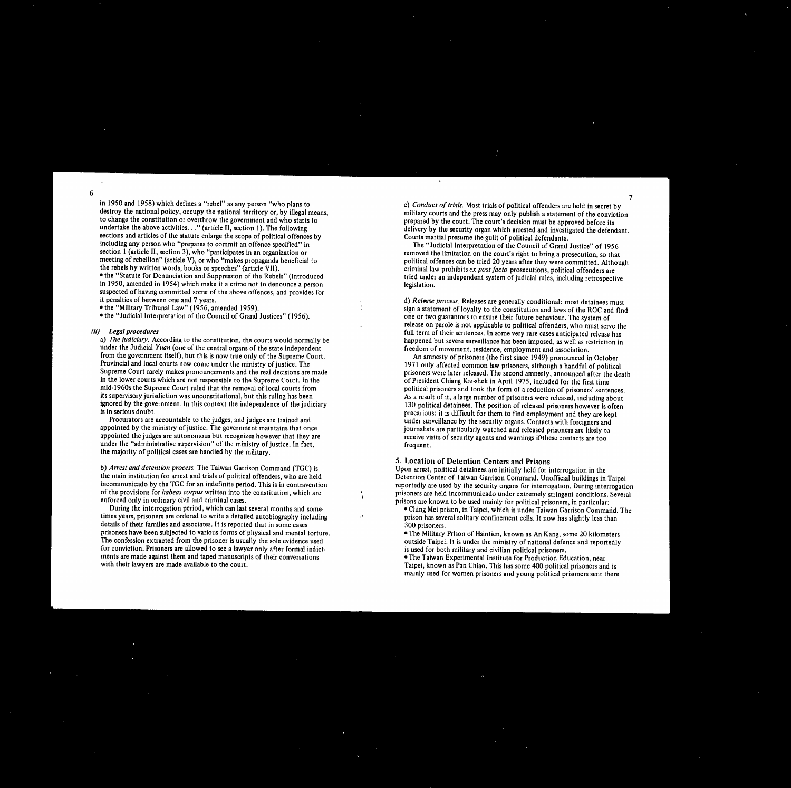destroy the national policy, occupy the national territory or, by illegal means,<br>to change the constitution or overthrow the government and who starts to see the court of the court. The court<br>prepared by the court. The cou to change the constitution or overthrow the government and who starts to prepared by the court. The court's decision must be approved before its<br>undertake the above activities. . ." (article II, section 1). The following<br>d sections and articles of the statute enlarge the scope of political offences by Courts martial presume the guilt of political defendants.<br>
including any person who "prepares to commit an offence specified" in The "Judicial including any person who "prepares to commit an offence specified" in The "Judicial Interpretation of the Council of Grand Justice" of 1956<br>section 1 (article II, section 3), who "participates in an organization or<br>section section 1 (article II, section 3), who "participates in an organization or<br>meeting of rebellion" (article V), or who "makes propaganda beneficial to<br>meeting of rebellion" (article V), or who "makes propaganda beneficial to meeting of rebellion" (article V), or who "makes propaganda beneficial to political offences can be tried 20 years after they were committed. Although the rebels by written words, books or speeches" (article VII). the rebels by written words, books or speeches" (article VII). criminal law prohibits *ex post facto* prosecutions, political offenders are<br>• the "Statute for Denunciation and Suppression of the Rebels" (introduced tried u in 1950, amended in 1954) which make it a crime not to denounce a person suspected of having committed some of the above offences, and provides for<br>it penalties of between one and 7 years. it penalties of between one and 7 years.<br>
• the "Military Tribunal Law" (1956, amended 1959).<br>
• the "Military Tribunal Law" (1956, amended 1959). • the "Military Tribunal Law" (1956, amended 1959). sign a statement of loyalty to the constitution and laws of the ROC and find<br>• the "Judicial Interpretation of the Council of Grand Justices" (1956). one or two guarantor

under the Judicial *Yuan* (one of the central organs of the state independent from the government itself), but this is now true only of the Supreme Court. from the government itself), but this is now true only of the Supreme Court.<br>An amnesty of prisoners (the first since 1949) pronounced in October<br>Provincial and local courts now come under the ministry of justice. The 1971 Provincial and local courts now come under the ministry of justice. The 1971 only affected common law prisoners, although a handful of political<br>Supreme Court rarely makes pronouncements and the real decisions are made pri Supreme Court rarely makes pronouncements and the real decisions are made prisoners were later released. The second amnesty, announced after the death in the lower courts which are not responsible to the Supreme Court. In in the lower courts which are not responsible to the Supreme Court. In the of President Chiang Kai-shek in April 1975, included for the first time<br>mid-1960s the Supreme Court ruled that the removal of local courts from mid mid-1960s the Supreme Court ruled that the removal of local courts from political prisoners and took the form of a reduction of prisoners' sentences.<br>Its supervisory jurisdiction was unconstitutional, but this ruling has b its supervisory jurisdiction was unconstitutional, but this ruling has been As a result of it, a large number of prisoners were released, including about ignored by the government. In this context the independence of the j ignored by the government. In this context the independence of the judiciary 130 political detainees. The position of released prisoners however is often is in serious doubt.

Procurators are accountable to the judges, and judges are trained and<br>appointed by the ministry of justice. The government maintains that once<br>iournalists are particularly watched and released prisoners are likely to appointed by the ministry of justice. The government maintains that once journalists are particularly watched and released prisoners are likely to appointed the judges are autonomous but recognizes however that they are  $\$ under the "administrative supervision" of the ministry of justice. In fact, frequent. the majority of political cases are handled by the military.

*b) Arrest and detention process.* The Taiwan Garrison Command (TGC) is Upon arrest, political detainees are initially held for interrogation in the Upon arrest, political detainees are initially held for interrogation in

details of their families and associates. It is reported that in some cases 300 prisoners.<br>
prisoners have been subjected to various forms of physical and mental torture. • The Military l prisoners have been subjected to various forms of physical and mental torture.<br>
The Military Prison of Hsintien, known as An Kang, some 20 kilometers<br>
The confession extracted from the prisoner is usually the sole evidence for conviction. Prisoners are allowed to see a lawyer only after formal indict-<br>ments are made against them and taped manuscripts of their conversations. ments are made against them and taped manuscripts of their conversations • The Taiwan Experimental Institute for Production Education, near<br>
with their lawyers are made available to the court.<br>
with their lawyers are made

> $\frac{1}{2}$ in 1950 and 1958) which defines a "rebel" as any person "who plans to c) *Conduct of trials*. Most trials of political offenders are held in secret by c) *Conduct of trials.* Most trials of political offenders are held in delivery by the security organ which arrested and investigated the defendant.

tried under an independent system of judicial rules, including retrospective legislation.

one or two guarantors to ensure their future behaviour. The system of release on parole is not applicable to political offenders, who must serve the (ii) Legal procedures<br>a) The judiciary. According to the constitution, the courts would normally be<br>a) The judiciary. According to the constitution, the courts would normally be happened but severe surveillance has been im happened but severe surveillance has been imposed, as well as restriction in freedom of movement, residence, employment and association.

in serious doubt.<br>precarious: it is difficult for them to find employment and they are kept<br>Procurators are accountable to the judges, and judges are trained and<br>Procurators are accountable to the judges, and judges are tr receive visits of security agents and warnings if these contacts are too

> Taipei, known as Pan Chiao. This has some 400 political prisoners and is mainly used for women prisoners and young political prisoners sent there

> > the contract of the contract of the contract of the

5. Location of Detention Centers and Prisons

the main institution for arrest and trials of political offenders, who are held<br>incommunicado by the TGC for an indefinite period. This is in contravention entity are used by the security organs for interrogation. During i incommunicado by the TGC for an indefinite period. This is in contravention reportedly are used by the security organs for interrogation. During interrogation of the provisions for *habeas corpus* written into the constitu of the provisions for *habeas corpus* written into the constitution, which are prisoners are held incommunicado under extremely stringent conditions. Several enforced only in ordinary civil and criminal cases. forced only in ordinary civil and criminal cases.<br>Puring the interrogation period, which can last several months and some-<br>Phing Mei prison, in Taipei, which is under Taiwan Garrison Comman During the interrogation period, which can last several months and some-<br>times years, prisoners are ordered to write a detailed autobiography including<br>entimes prison has several solitary confinement cells. It now has slig prison has several solitary confinement cells. It now has slightly less than

outside Taipei. It is under the ministry of national defence and reportedly is used for both military and civilian political prisoners.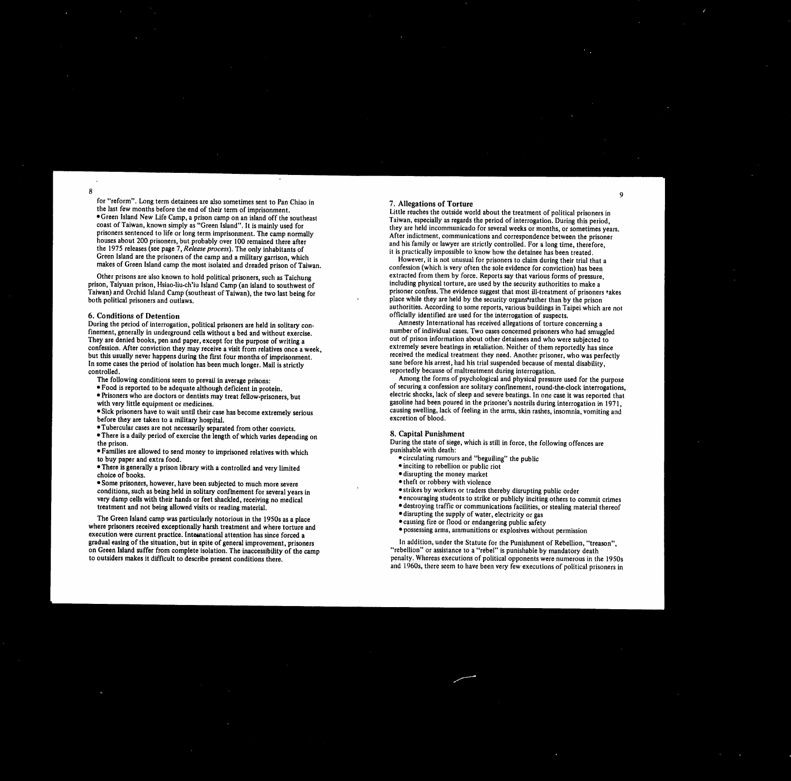for "reform". Long term detainees are also sometimes sent to Pan Chiao in the last few months before the end of their term of imprisonment. *7 .* **Allegations of Torture** Little reaches the outside world about the treatment of political prisoners in Taiwan, especially as regards the period of interrogation. During this period, they are held incommunicado for several weeks or months, or sometimes years. After indictment, communications and correspondence between the prisoner and his family or lawyer are strictly controlled. For a long time, therefore, it is practically impossible to know how the detainee has been treated. However, it is not unusual for prisoners to claim during their trial that a confession (which is very often the sole evidence for conviction) has been extracted from them by force. Reports say that various forms of pressure, including physical torture, are used by the security authorities to make a prisoner confess. The evidence suggest that most ill-treatment of prisoners takes place while they are held by the security organs<sup>\*</sup>rather than by the prison authorities. According to some reports, various buildings in Taipei which are not officially identified are used for the interrogation of suspects. Amnesty International has received allegations of torture concerning a number of individual cases. Two cases concerned prisoners who had smuggled out of prison information about other detainees and who were subjected to extremely severe beatings in retaliation. Neither of them reportedly has since received the medical treatment they need. Another prisoner, who was perfectly sane before his arrest, had his trial suspended because of mental disability, reportedly because of maltreatment during interrogation. Among the forms of psychological and physical pressure used for the purpose of securing a confession are solitary confinement, round-the•clock interrogations, electric shocks, lack of sleep and severe beatings. In one case it was reported that gasoline had been poured in the prisoner's nostrils during interrogation in 1971, causing swelling, lack of feeling in the arms, skin rashes, insomnia, vomiting and excretion of blood. **8. Capital Punishment** During the state of siege, which is still in force, the following offences are punishable with death: • circulating rumours and "beguiling" the public • inciting to rebellion or public riot • disrupting the money market • theft or robbery with violence

Green Island New Life Camp, a prison camp on an island off the southeast coast of Taiwan, known simply as "Green Island". It is mainly used for prisoners sentenced to life or long term imprisonment. The camp normally houses about 200 prisoners, but probably over 100 remained there after the 1975 releases (see page 7, *Release process).*The only inhabitants of Green Island are the prisoners of the camp and a military garrison, which makes of Green Island camp the most isolated and dreaded prison of Taiwan. Other prisons are also known to hold political prisoners, such as Taichung prison, Taiyuan prison, Hsiao-liu-ch'iu Island Camp (an island to southwest of Taiwan) and Orchid Island Camp (southeast of Taiwan), the two last being for both political prisoners and outlaws. **6. Conditions of Detention** During the period of interrogation, political prisoners are held in solitary confinement, generally in underground cells without a bed and without exercise. They are denied books, pen and paper, except for the purpose of writing a confession. After conviction they may receive a visit from relatives once a week, but this usually never happens during the first four months of imprisonment. In some cases the period of isolation has been much longer. Mail is strictly controlled. The following conditions seem to prevail in average prisons: Food is reported to be adequate although deficient in protein. Prisoners who are doctors or dentists may treat fellow-prisoners, but with very little equipment or medicines. Sick prisoners have to wait until their case has become extremely serious before they are taken to a military hospital. Tubercular cases are not necessarily separated from other convicts. There is a daily period of exercise the length of which varies depending on the prison. Families are allowed to send money to imprisoned relatives with which to buy paper and extra food. There is generally a prison library with a controlled and very limited choice of books. Some prisoners, however, have been subjected to much more severe

conditions, such as being held in solitary confinement for several years in very damp cells with their hands or feet shackled, receiving no medical treatment and not being allowed visits or reading material.

The Green Island camp was particularly notorious in the 1950s as a place where prisoners received exceptionally harsh treatment and where torture and execution were current practice. International attention has since forced a gradual easing of the situation, but in spite of general improvement, prisoners on Green Island suffer from complete isolation. The inaccessibility of the camp to outsiders makes it difficult to describe present conditions there.

,他们的人都是不是,他们的人都是不是,他们的人都是不是,他们的人都是不是,他们的人都是不是,他们的人都是不是,他们的人都是不是,他们的人都是不是,他们的人都是不  $\overline{9}$ 

# <u>, до поставите со селото на селото на селото на селото на селото на селото на селото на селото на селото на сел</u>

- 
- 
- 
- 
- strikes by workers or traders thereby disrupting public order
- encouraging students to strike or publicly inciting others to commit crimes destroying traffic or communications facilities, or stealing material thereof
- disrupting the supply of water, electricity or gas
- causing fire or flood or endangering public safety
- possessing arms, ammunitions or explosives without permission

In addition, under the Statute for the Punishment of Rebellion, "treason", "rebellion" or assistance to a "rebel" is punishable by mandatory death penalty. Whereas executions of political opponents were numerous in the 1950s and 1960s, there seem to have been very few executions of political prisoners in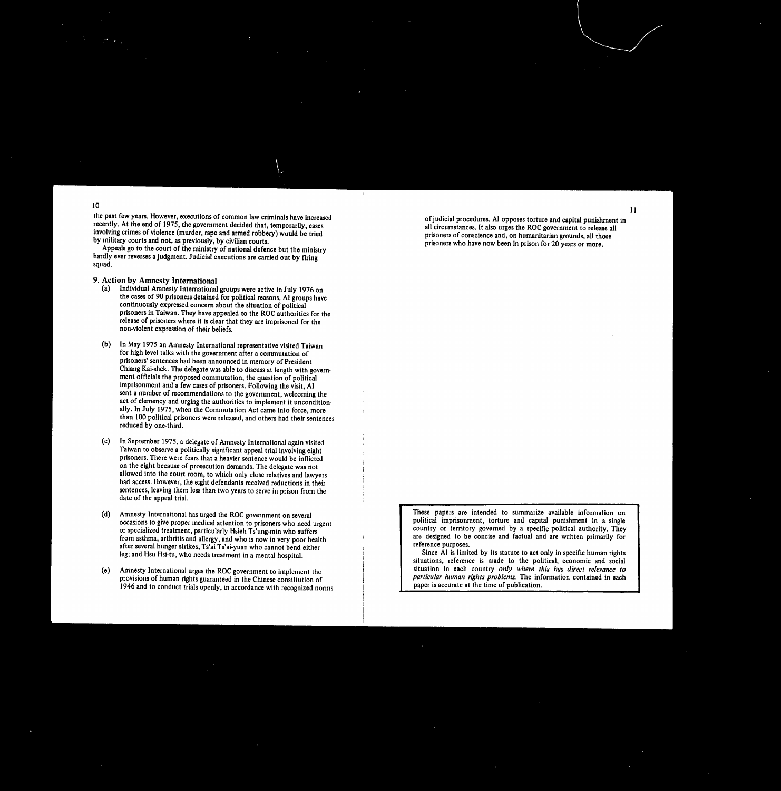the past few years. However, executions of common law criminals have increased recently. At the end of 1975, the government decided that, temporarily, cases involving crimes of violence (murder, rape and armed robbery) would be tried by military courts and not, as previously, by civilian courts.

Appeals go to the court of the ministry of national defence but the ministry hardly ever reverses a judgment. Judicial executions are carried out by firing squad.

of judicial procedures. Al opposes torture and capital punishment in all circumstances. It also urges the ROC government to release all prisoners of conscience and, on humanitarian grounds, all those prisoners who have now been in prison for 20 years or more.

 $\mathbf{1}$ 

- **9. Action by Amnesty International**
	- Individual Amnesty International groups were active in July 1976 on  $(a)$ the cases of 90 prisoners detained for political reasons. AI groups have continuously expressed concern about the situation of political prisoners in Taiwan. They have appealed to the ROC authorities for the release of prisoners where it is clear that they are imprisoned for the non-violent expression of their beliefs.
- In May 1975 an Amnesty International representative visited Taiwan  $(b)$ for high level talks with the government after a commutation of prisoners' sentences had been announced in memory of President Chiang Kai-shek. The delegate was able to discuss at length with government officials the proposed commutation, the question of political imprisonment and a few cases of prisoners. Following the visit, **Al** sent a number of recommendations to the government, welcoming the

act of clemency and urging the authorities to implement it unconditionally. In July 1975, when the Commutation Act came into force, more than 100 political prisoners were released, and others had their sentences reduced by one-third.

> These papers are intended to summarize available information on political imprisonment, torture and capital punishment in a single country or territory governed by a specific political authority. They are designed to be concise and factual and are written primarily for reference purposes.

- In September 1975, a delegate of Amnesty International again visited  $(c)$ Taiwan to observe a politically significant appeal trial involving eight prisoners. There were fears that a heavier sentence would be inflicted on the eight because of prosecution demands. The delegate was not allowed into the court room, to which only close relatives and lawyers had access. However, the eight defendants received reductions in their sentences, leaving them less than two years to serve in prison from the date of the appeal trial.
- Amnesty International has urged the ROC government on several  $(d)$ occasions to give proper medical attention to prisoners who need urgent or specialized treatment, particularly Hsieh Ts'ung-min who suffers from asthma, arthritis and allergy, and who is now in very poor health after several hunger strikes; Ts'ai Ts'ai-yuan who cannot bend either leg; and Hsu Hsi-tu, who needs treatment in a mental hospital.
- Amnesty International urges the ROC government to implement the  $(e)$ provisions of human rights guaranteed in the Chinese constitution of 1946 and to conduct trials openly, in accordance with recognized norms

Since AI is limited by its statute to act only in specific human rights situations, reference is made to the political, economic and social situation in each country *only where this has direct relevance to particular human rights problem&*The information contained in each paper is accurate at the time of publication.